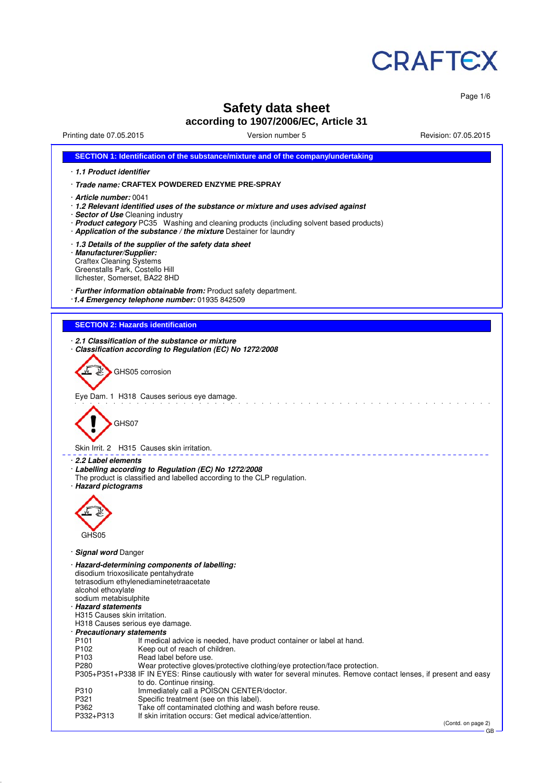

Page 1/6

# **Safety data sheet according to 1907/2006/EC, Article 31**

Printing date 07.05.2015 Version number 5 Revision: 07.05.2015

| SECTION 1: Identification of the substance/mixture and of the company/undertaking                                                                                                                                                                                                                                                                                                                    |
|------------------------------------------------------------------------------------------------------------------------------------------------------------------------------------------------------------------------------------------------------------------------------------------------------------------------------------------------------------------------------------------------------|
| · 1.1 Product identifier                                                                                                                                                                                                                                                                                                                                                                             |
| · Trade name: CRAFTEX POWDERED ENZYME PRE-SPRAY                                                                                                                                                                                                                                                                                                                                                      |
| · Article number: 0041<br>1.2 Relevant identified uses of the substance or mixture and uses advised against<br>· Sector of Use Cleaning industry<br>· Product category PC35 Washing and cleaning products (including solvent based products)<br>· Application of the substance / the mixture Destainer for laundry                                                                                   |
| 1.3 Details of the supplier of the safety data sheet<br>· Manufacturer/Supplier:<br><b>Craftex Cleaning Systems</b><br>Greenstalls Park, Costello Hill<br>Ilchester, Somerset, BA22 8HD                                                                                                                                                                                                              |
| · Further information obtainable from: Product safety department.<br>$\cdot$ 1.4 Emergency telephone number: 01935 842509                                                                                                                                                                                                                                                                            |
| <b>SECTION 2: Hazards identification</b>                                                                                                                                                                                                                                                                                                                                                             |
|                                                                                                                                                                                                                                                                                                                                                                                                      |
| 2.1 Classification of the substance or mixture<br>Classification according to Regulation (EC) No 1272/2008                                                                                                                                                                                                                                                                                           |
| GHS05 corrosion                                                                                                                                                                                                                                                                                                                                                                                      |
| Eye Dam. 1 H318 Causes serious eye damage.                                                                                                                                                                                                                                                                                                                                                           |
| GHS07                                                                                                                                                                                                                                                                                                                                                                                                |
| Skin Irrit. 2 H315 Causes skin irritation.                                                                                                                                                                                                                                                                                                                                                           |
| · 2.2 Label elements<br>Labelling according to Regulation (EC) No 1272/2008<br>The product is classified and labelled according to the CLP regulation.<br>· Hazard pictograms                                                                                                                                                                                                                        |
|                                                                                                                                                                                                                                                                                                                                                                                                      |
| GHS05                                                                                                                                                                                                                                                                                                                                                                                                |
| · Signal word Danger                                                                                                                                                                                                                                                                                                                                                                                 |
| · Hazard-determining components of labelling:<br>disodium trioxosilicate pentahydrate<br>tetrasodium ethylenediaminetetraacetate<br>alcohol ethoxylate<br>sodium metabisulphite<br>· Hazard statements<br>H315 Causes skin irritation.<br>H318 Causes serious eye damage.<br>· Precautionary statements<br>P <sub>101</sub><br>If medical advice is needed, have product container or label at hand. |
| P <sub>102</sub><br>Keep out of reach of children.                                                                                                                                                                                                                                                                                                                                                   |
| P <sub>103</sub><br>Read label before use.<br>P280<br>Wear protective gloves/protective clothing/eye protection/face protection.<br>P305+P351+P338 IF IN EYES: Rinse cautiously with water for several minutes. Remove contact lenses, if present and easy<br>to do. Continue rinsing.                                                                                                               |
| Immediately call a POISON CENTER/doctor.<br>P310<br>P321<br>Specific treatment (see on this label).                                                                                                                                                                                                                                                                                                  |
| Take off contaminated clothing and wash before reuse.<br>P362                                                                                                                                                                                                                                                                                                                                        |
| If skin irritation occurs: Get medical advice/attention.<br>P332+P313<br>(Contd. on page 2)                                                                                                                                                                                                                                                                                                          |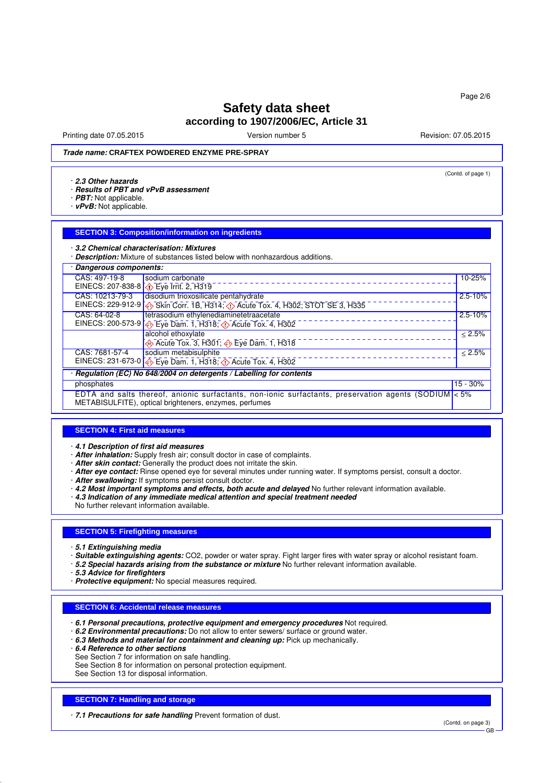Printing date 07.05.2015 **Principal and COVID-100** Version number 5 Revision: 07.05.2015

(Contd. of page 1)

## **Trade name: CRAFTEX POWDERED ENZYME PRE-SPRAY**

#### · **2.3 Other hazards**

· **Results of PBT and vPvB assessment**

- · **PBT:** Not applicable.
- · **vPvB:** Not applicable.

### **SECTION 3: Composition/information on ingredients**

· **3.2 Chemical characterisation: Mixtures**

· **Description:** Mixture of substances listed below with nonhazardous additions.

| · Dangerous components:                                                                                                                                        |                                                                                                    |             |  |  |  |
|----------------------------------------------------------------------------------------------------------------------------------------------------------------|----------------------------------------------------------------------------------------------------|-------------|--|--|--|
| CAS: 497-19-8                                                                                                                                                  | sodium carbonate                                                                                   | 10-25%      |  |  |  |
|                                                                                                                                                                | EINECS: 207-838-8 ( $\bullet$ Eye Irrit. 2, H319                                                   |             |  |  |  |
| CAS: 10213-79-3                                                                                                                                                | disodium trioxosilicate pentahydrate                                                               | $2.5 - 10%$ |  |  |  |
|                                                                                                                                                                | EINECS: 229-912-9 $\bigotimes$ Skin Corr. 1B, H314; $\bigcirc$ Acute Tox. 4, H302; STOT SE 3, H335 |             |  |  |  |
| CAS: 64-02-8                                                                                                                                                   | tetrasodium ethylenediaminetetraacetate                                                            | $2.5 - 10%$ |  |  |  |
|                                                                                                                                                                | EINECS: 200-573-9 $\bigotimes$ Eye Dam. 1, H318; $\bigotimes$ Acute Tox. 4, H302                   |             |  |  |  |
|                                                                                                                                                                | alcohol ethoxylate                                                                                 | < 2.5%      |  |  |  |
|                                                                                                                                                                | → Acute Tox. 3, H301; → Eye Dam. 1, H318                                                           |             |  |  |  |
| CAS: 7681-57-4                                                                                                                                                 | sodium metabisulphite                                                                              | $< 2.5\%$   |  |  |  |
|                                                                                                                                                                | EINECS: 231-673-0 $\bigotimes$ Eye Dam. 1, H318; $\bigcirc$ Acute Tox. 4, H302                     |             |  |  |  |
| · Regulation (EC) No 648/2004 on detergents / Labelling for contents                                                                                           |                                                                                                    |             |  |  |  |
| phosphates                                                                                                                                                     |                                                                                                    |             |  |  |  |
| EDTA and salts thereof, anionic surfactants, non-ionic surfactants, preservation agents (SODIUM < 5%<br>METABISULFITE), optical brighteners, enzymes, perfumes |                                                                                                    |             |  |  |  |

#### **SECTION 4: First aid measures**

· **4.1 Description of first aid measures**

· **After inhalation:** Supply fresh air; consult doctor in case of complaints.

- · **After skin contact:** Generally the product does not irritate the skin.
- · **After eye contact:** Rinse opened eye for several minutes under running water. If symptoms persist, consult a doctor.
- · **After swallowing:** If symptoms persist consult doctor.
- · **4.2 Most important symptoms and effects, both acute and delayed** No further relevant information available.
- · **4.3 Indication of any immediate medical attention and special treatment needed**

No further relevant information available.

### **SECTION 5: Firefighting measures**

- · **5.1 Extinguishing media**
- · **Suitable extinguishing agents:** CO2, powder or water spray. Fight larger fires with water spray or alcohol resistant foam.
- · **5.2 Special hazards arising from the substance or mixture** No further relevant information available.
- · **5.3 Advice for firefighters**
- · **Protective equipment:** No special measures required.

#### **SECTION 6: Accidental release measures**

- · **6.1 Personal precautions, protective equipment and emergency procedures** Not required.
- · **6.2 Environmental precautions:** Do not allow to enter sewers/ surface or ground water.
- · **6.3 Methods and material for containment and cleaning up:** Pick up mechanically.
- · **6.4 Reference to other sections**
- See Section 7 for information on safe handling.
- See Section 8 for information on personal protection equipment.
- See Section 13 for disposal information.

### **SECTION 7: Handling and storage**

· **7.1 Precautions for safe handling** Prevent formation of dust.

(Contd. on page 3) GB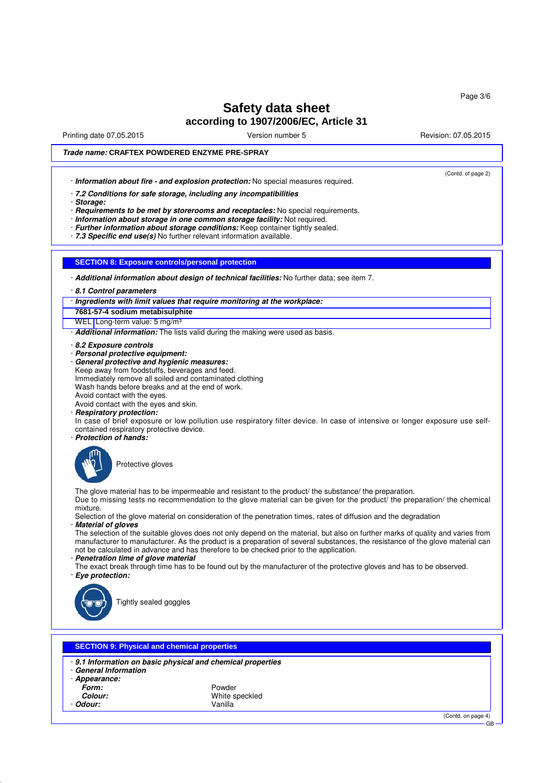Printing date 07.05.2015 **Principal and COVID-100** Version number 5 Revision: 07.05.2015

(Contd. of page 2)

## **Trade name: CRAFTEX POWDERED ENZYME PRE-SPRAY**

· **Information about fire - and explosion protection:** No special measures required.

· **7.2 Conditions for safe storage, including any incompatibilities**

· **Storage:**

· **Requirements to be met by storerooms and receptacles:** No special requirements.

- · **Information about storage in one common storage facility:** Not required.
- · **Further information about storage conditions:** Keep container tightly sealed.

· **7.3 Specific end use(s)** No further relevant information available.

### **SECTION 8: Exposure controls/personal protection**

· **Additional information about design of technical facilities:** No further data; see item 7.

- · **8.1 Control parameters**
- · **Ingredients with limit values that require monitoring at the workplace:**

**7681-57-4 sodium metabisulphite**

WEL Long-term value: 5 mg/m<sup>3</sup>

- · **Additional information:** The lists valid during the making were used as basis.
- · **8.2 Exposure controls**
- · **Personal protective equipment:**
- · **General protective and hygienic measures:** Keep away from foodstuffs, beverages and feed. Immediately remove all soiled and contaminated clothing Wash hands before breaks and at the end of work. Avoid contact with the eyes. Avoid contact with the eyes and skin.
- · **Respiratory protection:**
- 

In case of brief exposure or low pollution use respiratory filter device. In case of intensive or longer exposure use selfcontained respiratory protective device.

· **Protection of hands:**



Protective gloves

The glove material has to be impermeable and resistant to the product/ the substance/ the preparation. Due to missing tests no recommendation to the glove material can be given for the product/ the preparation/ the chemical mixture.

Selection of the glove material on consideration of the penetration times, rates of diffusion and the degradation · **Material of gloves**

The selection of the suitable gloves does not only depend on the material, but also on further marks of quality and varies from manufacturer to manufacturer. As the product is a preparation of several substances, the resistance of the glove material can not be calculated in advance and has therefore to be checked prior to the application.

- · **Penetration time of glove material**
- The exact break through time has to be found out by the manufacturer of the protective gloves and has to be observed. · **Eye protection:**



Tightly sealed goggles

### **SECTION 9: Physical and chemical properties**

- · **9.1 Information on basic physical and chemical properties**
- · **General Information**
- · **Appearance:**
	-
- Odour:
- Form: Powder Powder Powder Powder Powder Powder Powder Powder Powder Powder Powder Powder Powder Powder Powder<br>**Powder Powder Powder Powder Powder Powder Powder:** Powder Powder Powder Powder Powder Powder Powder Powder Pow White speckled<br>Vanilla

(Contd. on page 4)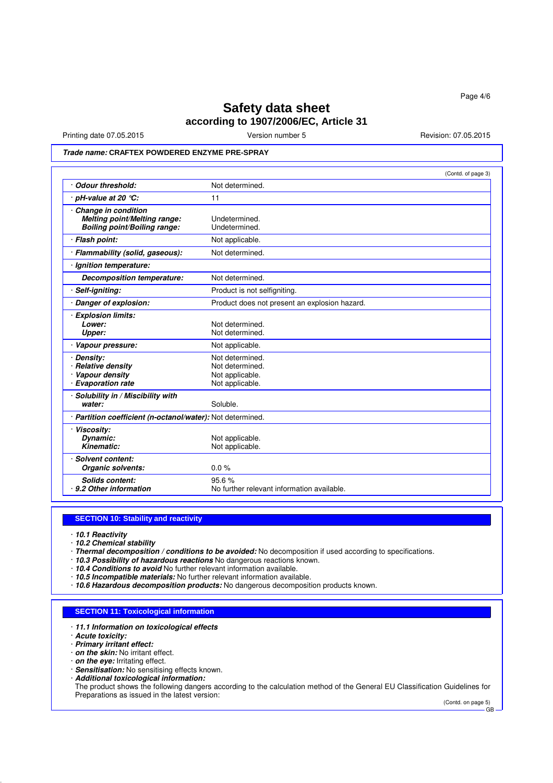Printing date 07.05.2015 **Version number 5** Nevision: 07.05.2015 **Revision: 07.05.2015** 

## **Trade name: CRAFTEX POWDERED ENZYME PRE-SPRAY**

|                                                                                              | (Contd. of page 3)                                                       |
|----------------------------------------------------------------------------------------------|--------------------------------------------------------------------------|
| · Odour threshold:                                                                           | Not determined.                                                          |
| $\cdot$ pH-value at 20 $\degree$ C:                                                          | 11                                                                       |
| · Change in condition<br>Melting point/Melting range:<br><b>Boiling point/Boiling range:</b> | Undetermined.<br>Undetermined.                                           |
| · Flash point:                                                                               | Not applicable.                                                          |
| · Flammability (solid, gaseous):                                                             | Not determined.                                                          |
| · Ignition temperature:                                                                      |                                                                          |
| <b>Decomposition temperature:</b>                                                            | Not determined.                                                          |
| · Self-igniting:                                                                             | Product is not selfigniting.                                             |
| Danger of explosion:                                                                         | Product does not present an explosion hazard.                            |
| · Explosion limits:<br>Lower:<br>Upper:                                                      | Not determined.<br>Not determined.                                       |
| · Vapour pressure:                                                                           | Not applicable.                                                          |
| Density:<br><b>Relative density</b><br>Vapour density<br>· Evaporation rate                  | Not determined.<br>Not determined.<br>Not applicable.<br>Not applicable. |
| · Solubility in / Miscibility with<br>water:                                                 | Soluble.                                                                 |
| · Partition coefficient (n-octanol/water): Not determined.                                   |                                                                          |
| · Viscosity:<br>Dynamic:<br>Kinematic:                                                       | Not applicable.<br>Not applicable.                                       |
| · Solvent content:<br>Organic solvents:                                                      | 0.0%                                                                     |
| Solids content:<br>· 9.2 Other information                                                   | 95.6%<br>No further relevant information available.                      |

### **SECTION 10: Stability and reactivity**

- · **10.1 Reactivity**
- · **10.2 Chemical stability**
- · **Thermal decomposition / conditions to be avoided:** No decomposition if used according to specifications.
- · **10.3 Possibility of hazardous reactions** No dangerous reactions known.
- · **10.4 Conditions to avoid** No further relevant information available.
- · **10.5 Incompatible materials:** No further relevant information available.
- · **10.6 Hazardous decomposition products:** No dangerous decomposition products known.

### **SECTION 11: Toxicological information**

- · **11.1 Information on toxicological effects**
- · **Acute toxicity:**
- · **Primary irritant effect:**
- · **on the skin:** No irritant effect.
- · **on the eye:** Irritating effect.
- · **Sensitisation:** No sensitising effects known.
- · **Additional toxicological information:**

The product shows the following dangers according to the calculation method of the General EU Classification Guidelines for Preparations as issued in the latest version:

(Contd. on page 5) GB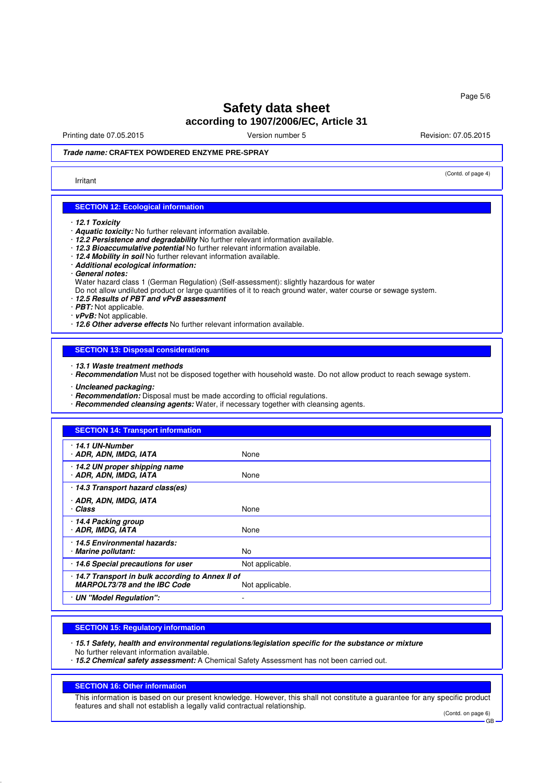Printing date 07.05.2015 **Principal and COVID-100** Version number 5 Revision: 07.05.2015

(Contd. of page 4)

## **Trade name: CRAFTEX POWDERED ENZYME PRE-SPRAY**

#### Irritant

### **SECTION 12: Ecological information**

- · **12.1 Toxicity**
- · **Aquatic toxicity:** No further relevant information available.
- · **12.2 Persistence and degradability** No further relevant information available.
- · **12.3 Bioaccumulative potential** No further relevant information available.
- · **12.4 Mobility in soil** No further relevant information available.
- · **Additional ecological information:**
- · **General notes:**
- Water hazard class 1 (German Regulation) (Self-assessment): slightly hazardous for water
- Do not allow undiluted product or large quantities of it to reach ground water, water course or sewage system.
- · **12.5 Results of PBT and vPvB assessment**
- · **PBT:** Not applicable.
- · **vPvB:** Not applicable.
- · **12.6 Other adverse effects** No further relevant information available.

#### **SECTION 13: Disposal considerations**

- · **13.1 Waste treatment methods**
- · **Recommendation** Must not be disposed together with household waste. Do not allow product to reach sewage system.
- · **Uncleaned packaging:**
- · **Recommendation:** Disposal must be made according to official regulations.
- · **Recommended cleansing agents:** Water, if necessary together with cleansing agents.

| <b>SECTION 14: Transport information</b>                                        |                 |  |  |  |
|---------------------------------------------------------------------------------|-----------------|--|--|--|
| $\cdot$ 14.1 UN-Number<br>· ADR, ADN, IMDG, IATA                                | None            |  |  |  |
| 14.2 UN proper shipping name<br>· ADR, ADN, IMDG, IATA                          | None            |  |  |  |
| 14.3 Transport hazard class(es)                                                 |                 |  |  |  |
| · ADR, ADN, IMDG, IATA<br>Class                                                 | None            |  |  |  |
| 14.4 Packing group<br>· ADR, IMDG, IATA                                         | None            |  |  |  |
| 14.5 Environmental hazards:<br>· Marine pollutant:                              | No.             |  |  |  |
| 14.6 Special precautions for user                                               | Not applicable. |  |  |  |
| 14.7 Transport in bulk according to Annex II of<br>MARPOL73/78 and the IBC Code | Not applicable. |  |  |  |
| · UN "Model Regulation":                                                        |                 |  |  |  |

### **SECTION 15: Regulatory information**

· **15.1 Safety, health and environmental regulations/legislation specific for the substance or mixture**

No further relevant information available.

· **15.2 Chemical safety assessment:** A Chemical Safety Assessment has not been carried out.

### **SECTION 16: Other information**

This information is based on our present knowledge. However, this shall not constitute a guarantee for any specific product features and shall not establish a legally valid contractual relationship.

 $\overline{GR}$